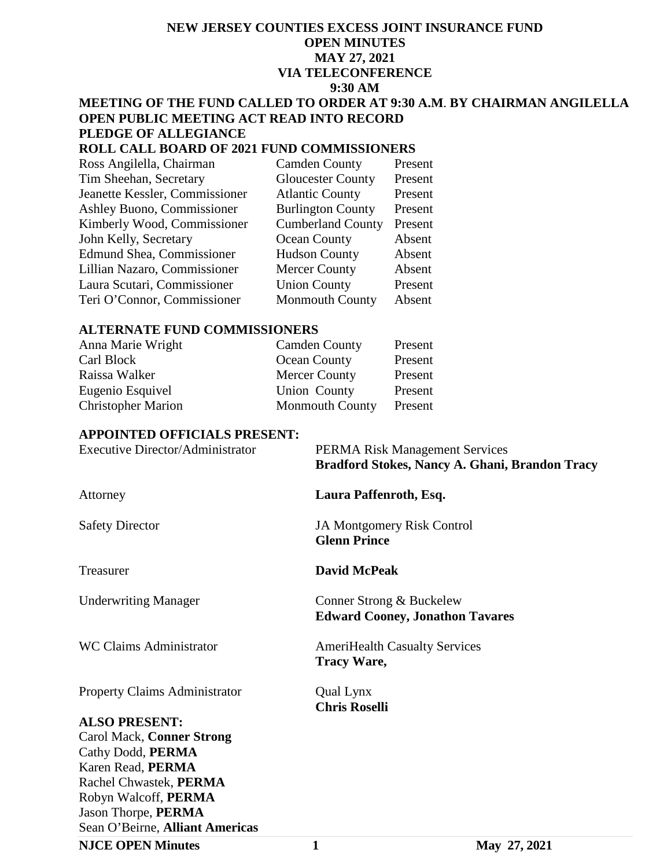# **NEW JERSEY COUNTIES EXCESS JOINT INSURANCE FUND OPEN MINUTES MAY 27, 2021 VIA TELECONFERENCE 9:30 AM**

#### **MEETING OF THE FUND CALLED TO ORDER AT 9:30 A.M**. **BY CHAIRMAN ANGILELLA OPEN PUBLIC MEETING ACT READ INTO RECORD PLEDGE OF ALLEGIANCE**

## **ROLL CALL BOARD OF 2021 FUND COMMISSIONERS**

| Ross Angilella, Chairman         | Cam   |
|----------------------------------|-------|
| Tim Sheehan, Secretary           | Glou  |
| Jeanette Kessler, Commissioner   | Atlar |
| Ashley Buono, Commissioner       | Burli |
| Kimberly Wood, Commissioner      | Cum   |
| John Kelly, Secretary            | Ocea  |
| <b>Edmund Shea, Commissioner</b> | Huds  |
| Lillian Nazaro, Commissioner     | Merc  |
| Laura Scutari, Commissioner      | Unio  |
| Teri O'Connor, Commissioner      | Mon   |

den County Present The Sheehan Sheehan<br>The Sheehan Sheehan<br>The Sheehan Sheehan<br>The Sheehan Sheehan ntic County ington County Present berland County Present an County Absent Exercually<br>
Sheaf County Absent<br>
Absent Lillian County<br>
Lillian County Present on County mouth County Absent

#### **ALTERNATE FUND COMMISSIONERS**

| Anna Marie Wright         | <b>Camden County</b>   | Present |
|---------------------------|------------------------|---------|
| Carl Block                | Ocean County           | Present |
| Raissa Walker             | <b>Mercer County</b>   | Present |
| Eugenio Esquivel          | Union County           | Present |
| <b>Christopher Marion</b> | <b>Monmouth County</b> | Present |

#### **APPOINTED OFFICIALS PRESENT:**

| <b>Executive Director/Administrator</b> | <b>PERMA Risk Management Services</b><br>Bradford Stokes, Nancy A. Ghani, Brandon Tracy |
|-----------------------------------------|-----------------------------------------------------------------------------------------|
| Attorney                                | Laura Paffenroth, Esq.                                                                  |
| <b>Safety Director</b>                  | <b>JA Montgomery Risk Control</b><br><b>Glenn Prince</b>                                |
| Treasurer                               | <b>David McPeak</b>                                                                     |
| <b>Underwriting Manager</b>             | Conner Strong & Buckelew<br><b>Edward Cooney, Jonathon Tavares</b>                      |
| <b>WC Claims Administrator</b>          | <b>AmeriHealth Casualty Services</b><br><b>Tracy Ware,</b>                              |
| <b>Property Claims Administrator</b>    | Qual Lynx<br><b>Chris Roselli</b>                                                       |
| <b>ALSO PRESENT:</b>                    |                                                                                         |
| Carol Mack, Conner Strong               |                                                                                         |
| Cathy Dodd, PERMA                       |                                                                                         |
| Karen Read, PERMA                       |                                                                                         |
| Rachel Chwastek, PERMA                  |                                                                                         |
| Robyn Walcoff, PERMA                    |                                                                                         |
| Jason Thorpe, PERMA                     |                                                                                         |

Sean O'Beirne, **Alliant Americas**